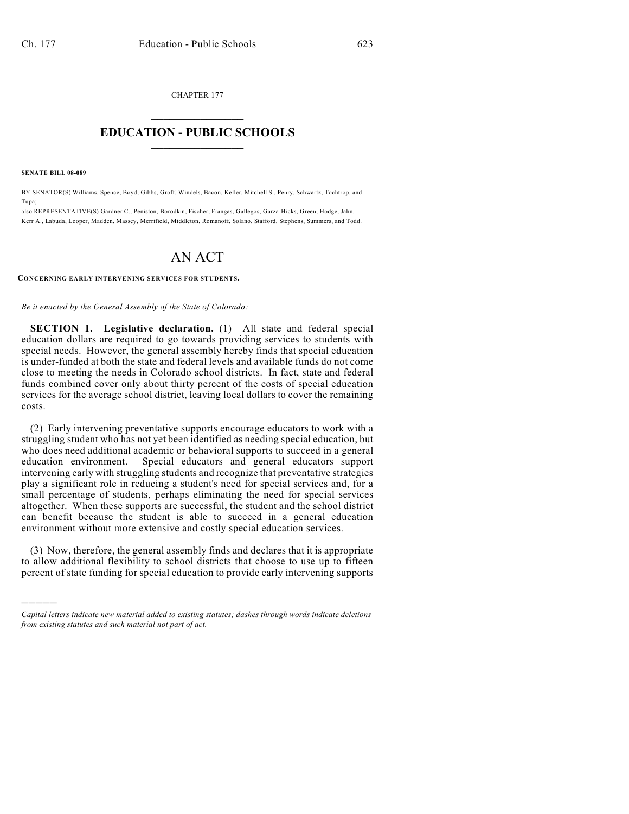CHAPTER 177  $\mathcal{L}_\text{max}$  . The set of the set of the set of the set of the set of the set of the set of the set of the set of the set of the set of the set of the set of the set of the set of the set of the set of the set of the set

## **EDUCATION - PUBLIC SCHOOLS**  $\_$   $\_$   $\_$   $\_$   $\_$   $\_$   $\_$   $\_$   $\_$

**SENATE BILL 08-089**

)))))

BY SENATOR(S) Williams, Spence, Boyd, Gibbs, Groff, Windels, Bacon, Keller, Mitchell S., Penry, Schwartz, Tochtrop, and Tupa;

also REPRESENTATIVE(S) Gardner C., Peniston, Borodkin, Fischer, Frangas, Gallegos, Garza-Hicks, Green, Hodge, Jahn, Kerr A., Labuda, Looper, Madden, Massey, Merrifield, Middleton, Romanoff, Solano, Stafford, Stephens, Summers, and Todd.

## AN ACT

**CONCERNING EARLY INTERVENING SERVICES FOR STUDENTS.**

*Be it enacted by the General Assembly of the State of Colorado:*

**SECTION 1. Legislative declaration.** (1) All state and federal special education dollars are required to go towards providing services to students with special needs. However, the general assembly hereby finds that special education is under-funded at both the state and federal levels and available funds do not come close to meeting the needs in Colorado school districts. In fact, state and federal funds combined cover only about thirty percent of the costs of special education services for the average school district, leaving local dollars to cover the remaining costs.

(2) Early intervening preventative supports encourage educators to work with a struggling student who has not yet been identified as needing special education, but who does need additional academic or behavioral supports to succeed in a general education environment. Special educators and general educators support Special educators and general educators support intervening early with struggling students and recognize that preventative strategies play a significant role in reducing a student's need for special services and, for a small percentage of students, perhaps eliminating the need for special services altogether. When these supports are successful, the student and the school district can benefit because the student is able to succeed in a general education environment without more extensive and costly special education services.

(3) Now, therefore, the general assembly finds and declares that it is appropriate to allow additional flexibility to school districts that choose to use up to fifteen percent of state funding for special education to provide early intervening supports

*Capital letters indicate new material added to existing statutes; dashes through words indicate deletions from existing statutes and such material not part of act.*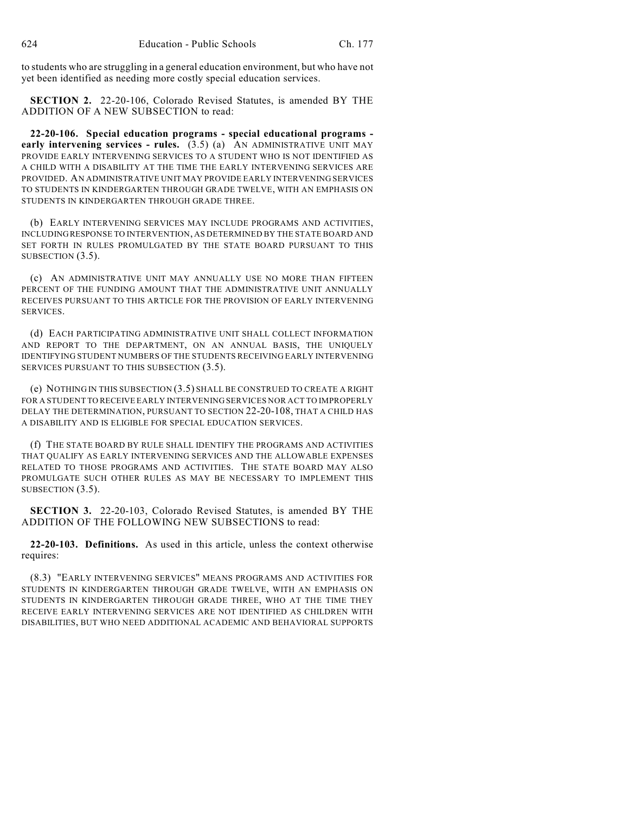to students who are struggling in a general education environment, but who have not yet been identified as needing more costly special education services.

**SECTION 2.** 22-20-106, Colorado Revised Statutes, is amended BY THE ADDITION OF A NEW SUBSECTION to read:

**22-20-106. Special education programs - special educational programs early intervening services - rules.** (3.5) (a) AN ADMINISTRATIVE UNIT MAY PROVIDE EARLY INTERVENING SERVICES TO A STUDENT WHO IS NOT IDENTIFIED AS A CHILD WITH A DISABILITY AT THE TIME THE EARLY INTERVENING SERVICES ARE PROVIDED. AN ADMINISTRATIVE UNIT MAY PROVIDE EARLY INTERVENING SERVICES TO STUDENTS IN KINDERGARTEN THROUGH GRADE TWELVE, WITH AN EMPHASIS ON STUDENTS IN KINDERGARTEN THROUGH GRADE THREE.

(b) EARLY INTERVENING SERVICES MAY INCLUDE PROGRAMS AND ACTIVITIES, INCLUDING RESPONSE TO INTERVENTION, AS DETERMINED BY THE STATE BOARD AND SET FORTH IN RULES PROMULGATED BY THE STATE BOARD PURSUANT TO THIS SUBSECTION (3.5).

(c) AN ADMINISTRATIVE UNIT MAY ANNUALLY USE NO MORE THAN FIFTEEN PERCENT OF THE FUNDING AMOUNT THAT THE ADMINISTRATIVE UNIT ANNUALLY RECEIVES PURSUANT TO THIS ARTICLE FOR THE PROVISION OF EARLY INTERVENING SERVICES.

(d) EACH PARTICIPATING ADMINISTRATIVE UNIT SHALL COLLECT INFORMATION AND REPORT TO THE DEPARTMENT, ON AN ANNUAL BASIS, THE UNIQUELY IDENTIFYING STUDENT NUMBERS OF THE STUDENTS RECEIVING EARLY INTERVENING SERVICES PURSUANT TO THIS SUBSECTION (3.5).

(e) NOTHING IN THIS SUBSECTION (3.5) SHALL BE CONSTRUED TO CREATE A RIGHT FOR A STUDENT TO RECEIVE EARLY INTERVENING SERVICES NOR ACT TO IMPROPERLY DELAY THE DETERMINATION, PURSUANT TO SECTION 22-20-108, THAT A CHILD HAS A DISABILITY AND IS ELIGIBLE FOR SPECIAL EDUCATION SERVICES.

(f) THE STATE BOARD BY RULE SHALL IDENTIFY THE PROGRAMS AND ACTIVITIES THAT QUALIFY AS EARLY INTERVENING SERVICES AND THE ALLOWABLE EXPENSES RELATED TO THOSE PROGRAMS AND ACTIVITIES. THE STATE BOARD MAY ALSO PROMULGATE SUCH OTHER RULES AS MAY BE NECESSARY TO IMPLEMENT THIS SUBSECTION (3.5).

**SECTION 3.** 22-20-103, Colorado Revised Statutes, is amended BY THE ADDITION OF THE FOLLOWING NEW SUBSECTIONS to read:

**22-20-103. Definitions.** As used in this article, unless the context otherwise requires:

(8.3) "EARLY INTERVENING SERVICES" MEANS PROGRAMS AND ACTIVITIES FOR STUDENTS IN KINDERGARTEN THROUGH GRADE TWELVE, WITH AN EMPHASIS ON STUDENTS IN KINDERGARTEN THROUGH GRADE THREE, WHO AT THE TIME THEY RECEIVE EARLY INTERVENING SERVICES ARE NOT IDENTIFIED AS CHILDREN WITH DISABILITIES, BUT WHO NEED ADDITIONAL ACADEMIC AND BEHAVIORAL SUPPORTS